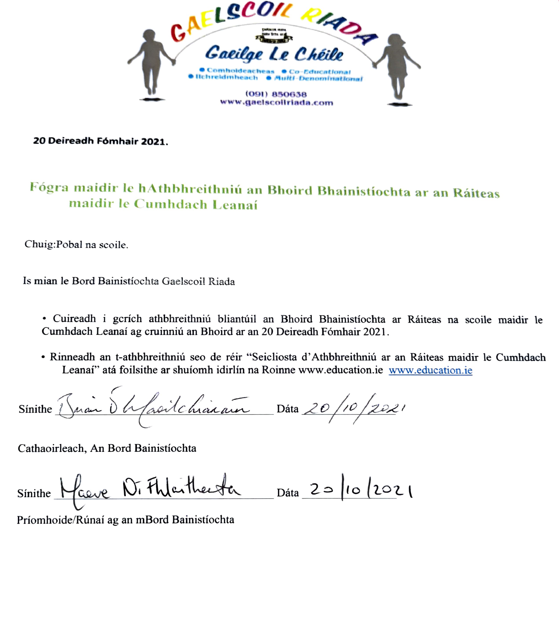

20 Deireadh Fómhair 2021.

## Fógra maidir le hAthbhreithniú an Bhoird Bhainistíochta ar an Ráiteas maidir le Cumhdach Leanaí

Chuig:Pobal na scoile.

Is mian le Bord Bainistiochta Gaelscoil Riada

- Cuireadh i gcrích athbhreithniú bliantúil an Bhoird Bhainistíochta ar Ráiteas na scoile maidir le Cumhdach Leanaí ag eruinniú an Bhoird ar an 20 Deireadh Fómhair 2021.
- Rinneadh an t-athbhreithniú seo de réir "Seicliosta d'Athbhreithniú ar an Ráiteas maidir le Cumhdach Leanaí" atá foilsithe ar shuíomh idirlín na Roinne www.education.ie www.education.ie

Sinithe Juan d'Afroitchiarain Dâta 20/10/2021

Cathaoirleach, An Bord Bainistíochta

 $Sinite$ Maure N. Fhlatherta Dáta 20 10 2021

Priomhoide/Rúnaí ag an mBord Bainistíochta